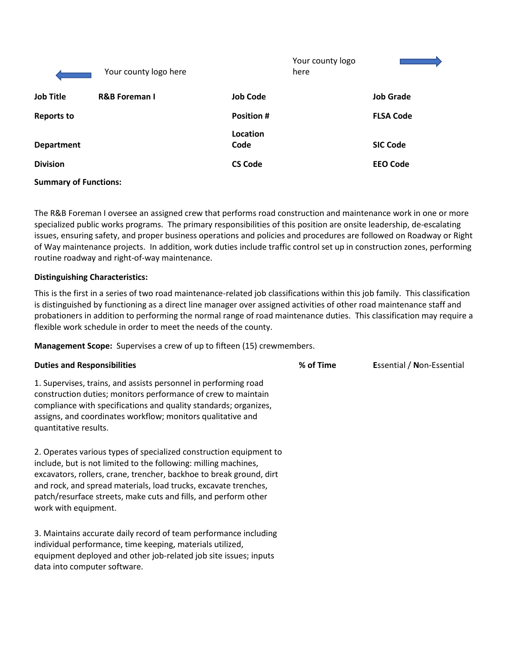|                                                            | Your county logo here    |                  | Your county logo<br>here |                  |
|------------------------------------------------------------|--------------------------|------------------|--------------------------|------------------|
| <b>Job Title</b>                                           | <b>R&amp;B Foreman I</b> | <b>Job Code</b>  |                          | <b>Job Grade</b> |
| <b>Reports to</b>                                          |                          | <b>Position#</b> |                          | <b>FLSA Code</b> |
|                                                            |                          | Location         |                          |                  |
| <b>Department</b>                                          |                          | Code             |                          | <b>SIC Code</b>  |
| <b>Division</b>                                            |                          | <b>CS Code</b>   |                          | <b>EEO Code</b>  |
| $\sim$ $\sim$<br>$\sim$ $\sim$ $\sim$ $\sim$ $\sim$ $\sim$ |                          |                  |                          |                  |

**Summary of Functions:**

The R&B Foreman I oversee an assigned crew that performs road construction and maintenance work in one or more specialized public works programs. The primary responsibilities of this position are onsite leadership, de-escalating issues, ensuring safety, and proper business operations and policies and procedures are followed on Roadway or Right of Way maintenance projects. In addition, work duties include traffic control set up in construction zones, performing routine roadway and right-of-way maintenance.

#### **Distinguishing Characteristics:**

data into computer software.

This is the first in a series of two road maintenance-related job classifications within this job family. This classification is distinguished by functioning as a direct line manager over assigned activities of other road maintenance staff and probationers in addition to performing the normal range of road maintenance duties. This classification may require a flexible work schedule in order to meet the needs of the county.

**Management Scope:** Supervises a crew of up to fifteen (15) crewmembers.

| <b>Duties and Responsibilities</b>                                                                                                                                                                                                                                                                                                                                         | % of Time | <b>Essential / Non-Essential</b> |
|----------------------------------------------------------------------------------------------------------------------------------------------------------------------------------------------------------------------------------------------------------------------------------------------------------------------------------------------------------------------------|-----------|----------------------------------|
| 1. Supervises, trains, and assists personnel in performing road<br>construction duties; monitors performance of crew to maintain<br>compliance with specifications and quality standards; organizes,<br>assigns, and coordinates workflow; monitors qualitative and<br>quantitative results.                                                                               |           |                                  |
| 2. Operates various types of specialized construction equipment to<br>include, but is not limited to the following: milling machines,<br>excavators, rollers, crane, trencher, backhoe to break ground, dirt<br>and rock, and spread materials, load trucks, excavate trenches,<br>patch/resurface streets, make cuts and fills, and perform other<br>work with equipment. |           |                                  |
| 3. Maintains accurate daily record of team performance including<br>individual performance, time keeping, materials utilized,<br>equipment deployed and other job-related job site issues; inputs                                                                                                                                                                          |           |                                  |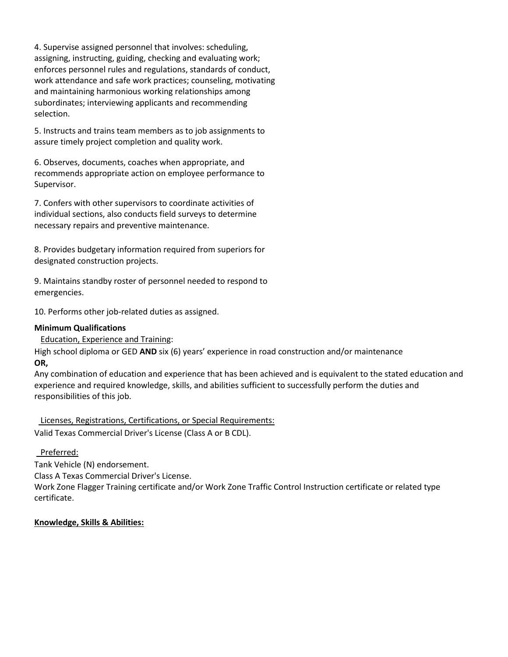4. Supervise assigned personnel that involves: scheduling, assigning, instructing, guiding, checking and evaluating work; enforces personnel rules and regulations, standards of conduct, work attendance and safe work practices; counseling, motivating and maintaining harmonious working relationships among subordinates; interviewing applicants and recommending selection.

5. Instructs and trains team members as to job assignments to assure timely project completion and quality work.

6. Observes, documents, coaches when appropriate, and recommends appropriate action on employee performance to Supervisor.

7. Confers with other supervisors to coordinate activities of individual sections, also conducts field surveys to determine necessary repairs and preventive maintenance.

8. Provides budgetary information required from superiors for designated construction projects.

9. Maintains standby roster of personnel needed to respond to emergencies.

10. Performs other job-related duties as assigned.

## **Minimum Qualifications**

Education, Experience and Training:

High school diploma or GED **AND** six (6) years' experience in road construction and/or maintenance **OR,**

Any combination of education and experience that has been achieved and is equivalent to the stated education and experience and required knowledge, skills, and abilities sufficient to successfully perform the duties and responsibilities of this job.

 Licenses, Registrations, Certifications, or Special Requirements: Valid Texas Commercial Driver's License (Class A or B CDL).

# Preferred:

Tank Vehicle (N) endorsement. Class A Texas Commercial Driver's License. Work Zone Flagger Training certificate and/or Work Zone Traffic Control Instruction certificate or related type certificate.

**Knowledge, Skills & Abilities:**